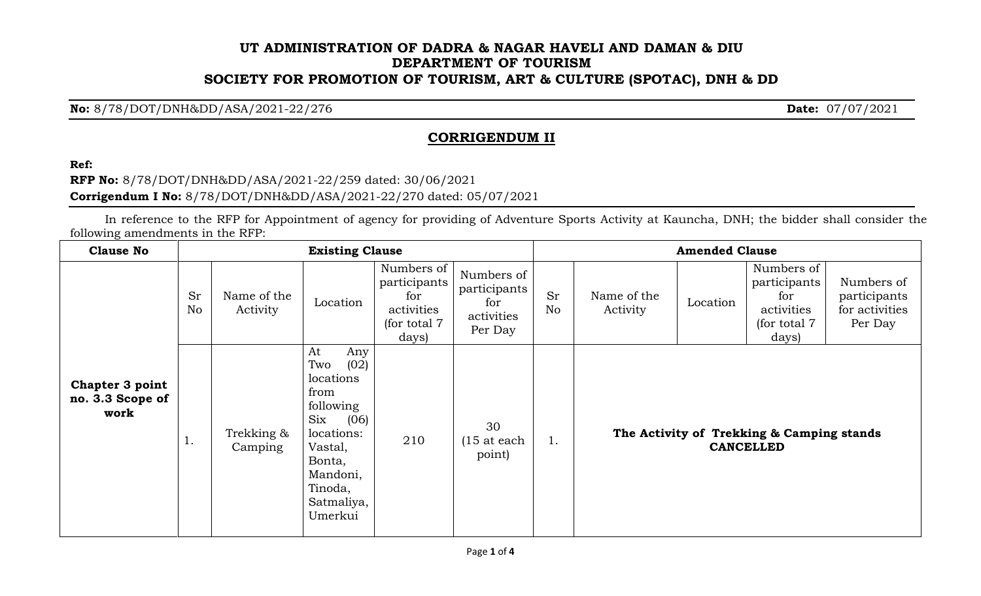## **UT ADMINISTRATION OF DADRA & NAGAR HAVELI AND DAMAN & DIU DEPARTMENT OF TOURISM SOCIETY FOR PROMOTION OF TOURISM, ART & CULTURE (SPOTAC), DNH & DD**

**No:** 8/78/DOT/DNH&DD/ASA/2021-22/276 **Date:** 07/07/2021

## **CORRIGENDUM II**

**Ref:**

**RFP No:** 8/78/DOT/DNH&DD/ASA/2021-22/259 dated: 30/06/2021 **Corrigendum I No:** 8/78/DOT/DNH&DD/ASA/2021-22/270 dated: 05/07/2021

In reference to the RFP for Appointment of agency for providing of Adventure Sports Activity at Kauncha, DNH; the bidder shall consider the following amendments in the RFP:

| <b>Clause No</b>                            | <b>Existing Clause</b> |                         |                                                                                                                                                                    |                                                                           |                                                            | <b>Amended Clause</b> |                         |          |                                                                           |                                                         |
|---------------------------------------------|------------------------|-------------------------|--------------------------------------------------------------------------------------------------------------------------------------------------------------------|---------------------------------------------------------------------------|------------------------------------------------------------|-----------------------|-------------------------|----------|---------------------------------------------------------------------------|---------------------------------------------------------|
|                                             | <b>Sr</b><br>No        | Name of the<br>Activity | Location                                                                                                                                                           | Numbers of<br>participants<br>for<br>activities<br>(for total 7)<br>days) | Numbers of<br>participants<br>for<br>activities<br>Per Day | <b>Sr</b><br>No       | Name of the<br>Activity | Location | Numbers of<br>participants<br>for<br>activities<br>(for total 7)<br>days) | Numbers of<br>participants<br>for activities<br>Per Day |
| Chapter 3 point<br>no. 3.3 Scope of<br>work | ī.                     | Trekking &<br>Camping   | At<br>Any<br>(02)<br>Two<br>locations<br>from<br>following<br>(06)<br>$\rm Six$<br>locations:<br>Vastal,<br>Bonta,<br>Mandoni,<br>Tinoda,<br>Satmaliya,<br>Umerkui | 210                                                                       | 30<br>$(15$ at each<br>point)                              | 1.                    |                         |          | The Activity of Trekking & Camping stands<br><b>CANCELLED</b>             |                                                         |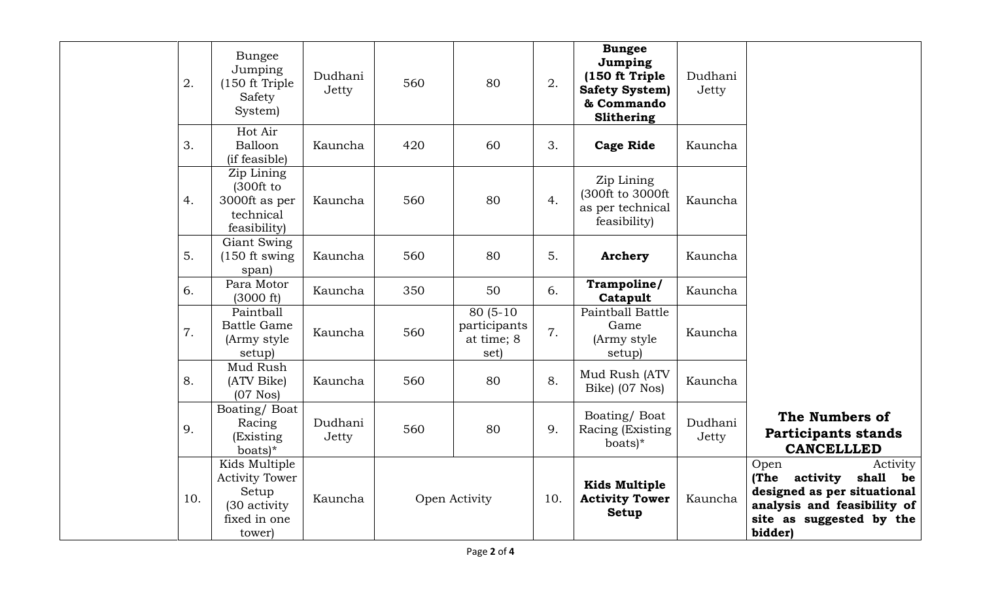| 2.  | <b>Bungee</b><br>Jumping<br>(150 ft Triple)<br>Safety<br>System)                          | Dudhani<br>Jetty | 560 | 80                                               | 2.  | <b>Bungee</b><br>Jumping<br>(150 ft Triple<br><b>Safety System)</b><br>& Commando<br>Slithering | Dudhani<br>Jetty |                                                                                                                                                    |
|-----|-------------------------------------------------------------------------------------------|------------------|-----|--------------------------------------------------|-----|-------------------------------------------------------------------------------------------------|------------------|----------------------------------------------------------------------------------------------------------------------------------------------------|
| 3.  | Hot Air<br>Balloon<br>(if feasible)                                                       | Kauncha          | 420 | 60                                               | 3.  | <b>Cage Ride</b>                                                                                | Kauncha          |                                                                                                                                                    |
| 4.  | Zip Lining<br>(300 ft to<br>3000ft as per<br>technical<br>feasibility)                    | Kauncha          | 560 | 80                                               | 4.  | Zip Lining<br>(300ft to 3000ft<br>as per technical<br>feasibility)                              | Kauncha          |                                                                                                                                                    |
| 5.  | Giant Swing<br>$(150$ ft swing<br>span)                                                   | Kauncha          | 560 | 80                                               | 5.  | <b>Archery</b>                                                                                  | Kauncha          |                                                                                                                                                    |
| 6.  | Para Motor<br>(3000 ft)                                                                   | Kauncha          | 350 | 50                                               | 6.  | Trampoline/<br>Catapult                                                                         | Kauncha          |                                                                                                                                                    |
| 7.  | Paintball<br><b>Battle Game</b><br>(Army style)<br>setup)                                 | Kauncha          | 560 | $80(5-10)$<br>participants<br>at time; 8<br>set) | 7.  | Paintball Battle<br>Game<br>(Army style)<br>setup)                                              | Kauncha          |                                                                                                                                                    |
| 8.  | Mud Rush<br>(ATV Bike)<br>$(07$ Nos $)$                                                   | Kauncha          | 560 | 80                                               | 8.  | Mud Rush (ATV<br>Bike) (07 Nos)                                                                 | Kauncha          |                                                                                                                                                    |
| 9.  | Boating/Boat<br>Racing<br>(Existing<br>boats)*                                            | Dudhani<br>Jetty | 560 | 80                                               | 9.  | Boating/Boat<br>Racing (Existing)<br>boats $)^*$                                                | Dudhani<br>Jetty | The Numbers of<br><b>Participants stands</b><br><b>CANCELLLED</b>                                                                                  |
| 10. | Kids Multiple<br><b>Activity Tower</b><br>Setup<br>(30 activity<br>fixed in one<br>tower) | Kauncha          |     | Open Activity                                    | 10. | <b>Kids Multiple</b><br><b>Activity Tower</b><br><b>Setup</b>                                   | Kauncha          | Activity<br>Open<br>(The activity<br>shall be<br>designed as per situational<br>analysis and feasibility of<br>site as suggested by the<br>bidder) |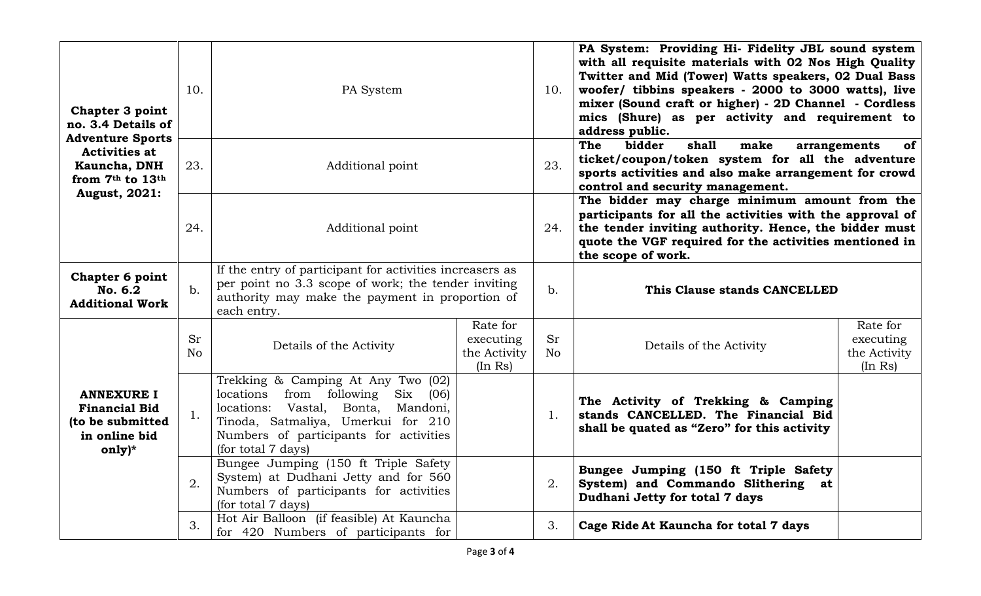| Chapter 3 point<br>no. 3.4 Details of                                                                              | 10.             | PA System                                                                                                                                                                                                                                |                                                  | 10.                         | PA System: Providing Hi- Fidelity JBL sound system<br>with all requisite materials with 02 Nos High Quality<br>Twitter and Mid (Tower) Watts speakers, 02 Dual Bass<br>woofer/ tibbins speakers - 2000 to 3000 watts), live<br>mixer (Sound craft or higher) - 2D Channel - Cordless<br>mics (Shure) as per activity and requirement to<br>address public. |                                                  |  |
|--------------------------------------------------------------------------------------------------------------------|-----------------|------------------------------------------------------------------------------------------------------------------------------------------------------------------------------------------------------------------------------------------|--------------------------------------------------|-----------------------------|------------------------------------------------------------------------------------------------------------------------------------------------------------------------------------------------------------------------------------------------------------------------------------------------------------------------------------------------------------|--------------------------------------------------|--|
| <b>Adventure Sports</b><br><b>Activities at</b><br><b>Kauncha, DNH</b><br>from 7th to 13th<br><b>August, 2021:</b> | 23.             | Additional point                                                                                                                                                                                                                         |                                                  |                             | shall<br>The<br>bidder<br>of<br>make<br>arrangements<br>ticket/coupon/token system for all the adventure<br>sports activities and also make arrangement for crowd<br>control and security management.                                                                                                                                                      |                                                  |  |
|                                                                                                                    | 24.             | Additional point                                                                                                                                                                                                                         |                                                  | 24.                         | The bidder may charge minimum amount from the<br>participants for all the activities with the approval of<br>the tender inviting authority. Hence, the bidder must<br>quote the VGF required for the activities mentioned in<br>the scope of work.                                                                                                         |                                                  |  |
| <b>Chapter 6 point</b><br>No. 6.2<br><b>Additional Work</b>                                                        | $b$ .           | If the entry of participant for activities increasers as<br>per point no 3.3 scope of work; the tender inviting<br>authority may make the payment in proportion of<br>each entry.                                                        |                                                  |                             | This Clause stands CANCELLED                                                                                                                                                                                                                                                                                                                               |                                                  |  |
| <b>ANNEXURE I</b><br><b>Financial Bid</b><br>(to be submitted<br>in online bid<br>$only)*$                         | <b>Sr</b><br>No | Details of the Activity                                                                                                                                                                                                                  | Rate for<br>executing<br>the Activity<br>(In Rs) | <b>Sr</b><br>N <sub>o</sub> | Details of the Activity                                                                                                                                                                                                                                                                                                                                    | Rate for<br>executing<br>the Activity<br>(In Rs) |  |
|                                                                                                                    |                 | Trekking & Camping At Any Two (02)<br>locations<br>from following<br>$\rm Six$<br>(06)<br>locations: Vastal,<br>Bonta,<br>Mandoni,<br>Tinoda, Satmaliya, Umerkui for 210<br>Numbers of participants for activities<br>(for total 7 days) |                                                  | 1.                          | The Activity of Trekking & Camping<br>stands CANCELLED. The Financial Bid<br>shall be quated as "Zero" for this activity                                                                                                                                                                                                                                   |                                                  |  |
|                                                                                                                    | 2.              | Bungee Jumping (150 ft Triple Safety<br>System) at Dudhani Jetty and for 560<br>Numbers of participants for activities<br>(for total 7 days)                                                                                             |                                                  | 2.                          | Bungee Jumping (150 ft Triple Safety<br>System) and Commando Slithering at<br>Dudhani Jetty for total 7 days                                                                                                                                                                                                                                               |                                                  |  |
|                                                                                                                    | 3.              | Hot Air Balloon (if feasible) At Kauncha<br>for 420 Numbers of participants for                                                                                                                                                          |                                                  | 3.                          | Cage Ride At Kauncha for total 7 days                                                                                                                                                                                                                                                                                                                      |                                                  |  |